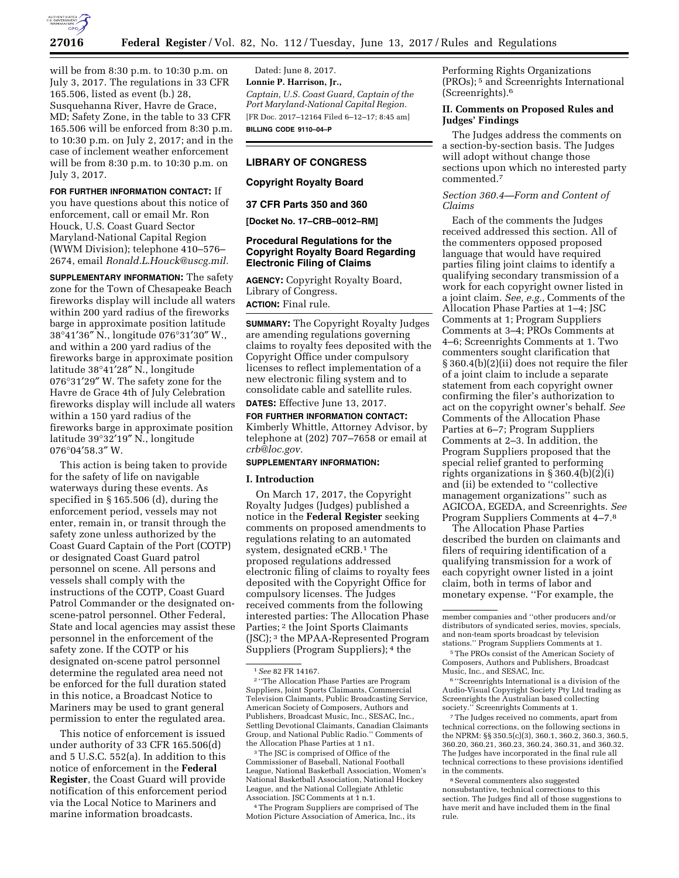

July 3, 2017.

will be from 8:30 p.m. to 10:30 p.m. on July 3, 2017. The regulations in 33 CFR 165.506, listed as event (b.) 28, Susquehanna River, Havre de Grace, MD; Safety Zone, in the table to 33 CFR 165.506 will be enforced from 8:30 p.m. to 10:30 p.m. on July 2, 2017; and in the case of inclement weather enforcement will be from 8:30 p.m. to 10:30 p.m. on

**FOR FURTHER INFORMATION CONTACT:** If you have questions about this notice of enforcement, call or email Mr. Ron Houck, U.S. Coast Guard Sector Maryland-National Capital Region (WWM Division); telephone 410–576– 2674, email *[Ronald.L.Houck@uscg.mil.](mailto:Ronald.L.Houck@uscg.mil)* 

**SUPPLEMENTARY INFORMATION:** The safety zone for the Town of Chesapeake Beach fireworks display will include all waters within 200 yard radius of the fireworks barge in approximate position latitude 38°41′36″ N., longitude 076°31′30″ W., and within a 200 yard radius of the fireworks barge in approximate position latitude 38°41′28″ N., longitude 076°31′29″ W. The safety zone for the Havre de Grace 4th of July Celebration fireworks display will include all waters within a 150 yard radius of the fireworks barge in approximate position latitude 39°32′19″ N., longitude 076°04′58.3″ W.

This action is being taken to provide for the safety of life on navigable waterways during these events. As specified in § 165.506 (d), during the enforcement period, vessels may not enter, remain in, or transit through the safety zone unless authorized by the Coast Guard Captain of the Port (COTP) or designated Coast Guard patrol personnel on scene. All persons and vessels shall comply with the instructions of the COTP, Coast Guard Patrol Commander or the designated onscene-patrol personnel. Other Federal, State and local agencies may assist these personnel in the enforcement of the safety zone. If the COTP or his designated on-scene patrol personnel determine the regulated area need not be enforced for the full duration stated in this notice, a Broadcast Notice to Mariners may be used to grant general permission to enter the regulated area.

This notice of enforcement is issued under authority of 33 CFR 165.506(d) and 5 U.S.C. 552(a). In addition to this notice of enforcement in the **Federal Register**, the Coast Guard will provide notification of this enforcement period via the Local Notice to Mariners and marine information broadcasts.

Dated: June 8, 2017. **Lonnie P. Harrison, Jr.,**  *Captain, U.S. Coast Guard, Captain of the Port Maryland-National Capital Region.*  [FR Doc. 2017–12164 Filed 6–12–17; 8:45 am] **BILLING CODE 9110–04–P** 

# **LIBRARY OF CONGRESS**

## **Copyright Royalty Board**

#### **37 CFR Parts 350 and 360**

**[Docket No. 17–CRB–0012–RM]** 

### **Procedural Regulations for the Copyright Royalty Board Regarding Electronic Filing of Claims**

**AGENCY:** Copyright Royalty Board, Library of Congress. **ACTION:** Final rule.

**SUMMARY:** The Copyright Royalty Judges are amending regulations governing claims to royalty fees deposited with the Copyright Office under compulsory licenses to reflect implementation of a new electronic filing system and to consolidate cable and satellite rules. **DATES:** Effective June 13, 2017.

# **FOR FURTHER INFORMATION CONTACT:**  Kimberly Whittle, Attorney Advisor, by telephone at (202) 707–7658 or email at *[crb@loc.gov.](mailto:crb@loc.gov)*

### **SUPPLEMENTARY INFORMATION:**

#### **I. Introduction**

On March 17, 2017, the Copyright Royalty Judges (Judges) published a notice in the **Federal Register** seeking comments on proposed amendments to regulations relating to an automated system, designated eCRB.<sup>1</sup> The proposed regulations addressed electronic filing of claims to royalty fees deposited with the Copyright Office for compulsory licenses. The Judges received comments from the following interested parties: The Allocation Phase Parties; 2 the Joint Sports Claimants (JSC); 3 the MPAA-Represented Program Suppliers (Program Suppliers); 4 the

3The JSC is comprised of Office of the Commissioner of Baseball, National Football League, National Basketball Association, Women's National Basketball Association, National Hockey League, and the National Collegiate Athletic Association. JSC Comments at 1 n.1.

4The Program Suppliers are comprised of The Motion Picture Association of America, Inc., its

Performing Rights Organizations (PROs); 5 and Screenrights International (Screenrights).6

# **II. Comments on Proposed Rules and Judges' Findings**

The Judges address the comments on a section-by-section basis. The Judges will adopt without change those sections upon which no interested party commented.7

## *Section 360.4—Form and Content of Claims*

Each of the comments the Judges received addressed this section. All of the commenters opposed proposed language that would have required parties filing joint claims to identify a qualifying secondary transmission of a work for each copyright owner listed in a joint claim. *See, e.g.,* Comments of the Allocation Phase Parties at 1–4; JSC Comments at 1; Program Suppliers Comments at 3–4; PROs Comments at 4–6; Screenrights Comments at 1. Two commenters sought clarification that § 360.4(b)(2)(ii) does not require the filer of a joint claim to include a separate statement from each copyright owner confirming the filer's authorization to act on the copyright owner's behalf. *See*  Comments of the Allocation Phase Parties at 6–7; Program Suppliers Comments at 2–3. In addition, the Program Suppliers proposed that the special relief granted to performing rights organizations in  $\S$  360.4(b)(2)(i) and (ii) be extended to ''collective management organizations'' such as AGICOA, EGEDA, and Screenrights. *See*  Program Suppliers Comments at 4–7.8

The Allocation Phase Parties described the burden on claimants and filers of requiring identification of a qualifying transmission for a work of each copyright owner listed in a joint claim, both in terms of labor and monetary expense. ''For example, the

 $^7\!$  The Judges received no comments, apart from technical corrections, on the following sections in the NPRM: §§ 350.5(c)(3), 360.1, 360.2, 360.3, 360.5, 360.20, 360.21, 360.23, 360.24, 360.31, and 360.32. The Judges have incorporated in the final rule all technical corrections to these provisions identified in the comments.

8Several commenters also suggested nonsubstantive, technical corrections to this section. The Judges find all of those suggestions to have merit and have included them in the final rule.

<sup>1</sup>*See* 82 FR 14167.

<sup>2</sup> ''The Allocation Phase Parties are Program Suppliers, Joint Sports Claimants, Commercial Television Claimants, Public Broadcasting Service, American Society of Composers, Authors and Publishers, Broadcast Music, Inc., SESAC, Inc., Settling Devotional Claimants, Canadian Claimants Group, and National Public Radio.'' Comments of the Allocation Phase Parties at 1 n1.

member companies and ''other producers and/or distributors of syndicated series, movies, specials, and non-team sports broadcast by television stations.'' Program Suppliers Comments at 1.

<sup>5</sup>The PROs consist of the American Society of Composers, Authors and Publishers, Broadcast Music, Inc., and SESAC, Inc.

<sup>6</sup> ''Screenrights International is a division of the Audio-Visual Copyright Society Pty Ltd trading as Screenrights the Australian based collecting society.'' Screenrights Comments at 1.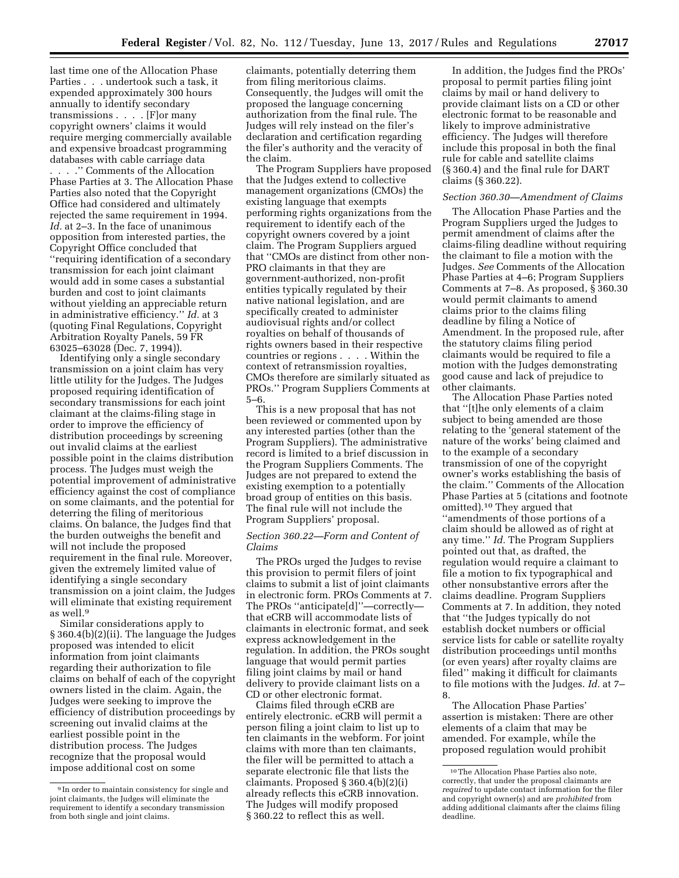last time one of the Allocation Phase Parties . . . undertook such a task, it expended approximately 300 hours annually to identify secondary transmissions . . . . [F]or many copyright owners' claims it would require merging commercially available and expensive broadcast programming databases with cable carriage data . . . .'' Comments of the Allocation Phase Parties at 3. The Allocation Phase Parties also noted that the Copyright Office had considered and ultimately rejected the same requirement in 1994. *Id.* at 2–3. In the face of unanimous opposition from interested parties, the Copyright Office concluded that ''requiring identification of a secondary transmission for each joint claimant would add in some cases a substantial burden and cost to joint claimants without yielding an appreciable return in administrative efficiency.'' *Id.* at 3 (quoting Final Regulations, Copyright Arbitration Royalty Panels, 59 FR 63025–63028 (Dec. 7, 1994)).

Identifying only a single secondary transmission on a joint claim has very little utility for the Judges. The Judges proposed requiring identification of secondary transmissions for each joint claimant at the claims-filing stage in order to improve the efficiency of distribution proceedings by screening out invalid claims at the earliest possible point in the claims distribution process. The Judges must weigh the potential improvement of administrative efficiency against the cost of compliance on some claimants, and the potential for deterring the filing of meritorious claims. On balance, the Judges find that the burden outweighs the benefit and will not include the proposed requirement in the final rule. Moreover, given the extremely limited value of identifying a single secondary transmission on a joint claim, the Judges will eliminate that existing requirement as well.9

Similar considerations apply to § 360.4(b)(2)(ii). The language the Judges proposed was intended to elicit information from joint claimants regarding their authorization to file claims on behalf of each of the copyright owners listed in the claim. Again, the Judges were seeking to improve the efficiency of distribution proceedings by screening out invalid claims at the earliest possible point in the distribution process. The Judges recognize that the proposal would impose additional cost on some

claimants, potentially deterring them from filing meritorious claims. Consequently, the Judges will omit the proposed the language concerning authorization from the final rule. The Judges will rely instead on the filer's declaration and certification regarding the filer's authority and the veracity of the claim.

The Program Suppliers have proposed that the Judges extend to collective management organizations (CMOs) the existing language that exempts performing rights organizations from the requirement to identify each of the copyright owners covered by a joint claim. The Program Suppliers argued that ''CMOs are distinct from other non-PRO claimants in that they are government-authorized, non-profit entities typically regulated by their native national legislation, and are specifically created to administer audiovisual rights and/or collect royalties on behalf of thousands of rights owners based in their respective countries or regions . . . . Within the context of retransmission royalties, CMOs therefore are similarly situated as PROs.'' Program Suppliers Comments at 5–6.

This is a new proposal that has not been reviewed or commented upon by any interested parties (other than the Program Suppliers). The administrative record is limited to a brief discussion in the Program Suppliers Comments. The Judges are not prepared to extend the existing exemption to a potentially broad group of entities on this basis. The final rule will not include the Program Suppliers' proposal.

### *Section 360.22—Form and Content of Claims*

The PROs urged the Judges to revise this provision to permit filers of joint claims to submit a list of joint claimants in electronic form. PROs Comments at 7. The PROs ''anticipate[d]''—correctly that eCRB will accommodate lists of claimants in electronic format, and seek express acknowledgement in the regulation. In addition, the PROs sought language that would permit parties filing joint claims by mail or hand delivery to provide claimant lists on a CD or other electronic format.

Claims filed through eCRB are entirely electronic. eCRB will permit a person filing a joint claim to list up to ten claimants in the webform. For joint claims with more than ten claimants, the filer will be permitted to attach a separate electronic file that lists the claimants. Proposed § 360.4(b)(2)(i) already reflects this eCRB innovation. The Judges will modify proposed § 360.22 to reflect this as well.

In addition, the Judges find the PROs' proposal to permit parties filing joint claims by mail or hand delivery to provide claimant lists on a CD or other electronic format to be reasonable and likely to improve administrative efficiency. The Judges will therefore include this proposal in both the final rule for cable and satellite claims (§ 360.4) and the final rule for DART claims (§ 360.22).

### *Section 360.30—Amendment of Claims*

The Allocation Phase Parties and the Program Suppliers urged the Judges to permit amendment of claims after the claims-filing deadline without requiring the claimant to file a motion with the Judges. *See* Comments of the Allocation Phase Parties at 4–6; Program Suppliers Comments at 7–8. As proposed, § 360.30 would permit claimants to amend claims prior to the claims filing deadline by filing a Notice of Amendment. In the proposed rule, after the statutory claims filing period claimants would be required to file a motion with the Judges demonstrating good cause and lack of prejudice to other claimants.

The Allocation Phase Parties noted that ''[t]he only elements of a claim subject to being amended are those relating to the 'general statement of the nature of the works' being claimed and to the example of a secondary transmission of one of the copyright owner's works establishing the basis of the claim.'' Comments of the Allocation Phase Parties at 5 (citations and footnote omitted).10 They argued that ''amendments of those portions of a claim should be allowed as of right at any time.'' *Id.* The Program Suppliers pointed out that, as drafted, the regulation would require a claimant to file a motion to fix typographical and other nonsubstantive errors after the claims deadline. Program Suppliers Comments at 7. In addition, they noted that ''the Judges typically do not establish docket numbers or official service lists for cable or satellite royalty distribution proceedings until months (or even years) after royalty claims are filed'' making it difficult for claimants to file motions with the Judges. *Id.* at 7– 8.

The Allocation Phase Parties' assertion is mistaken: There are other elements of a claim that may be amended. For example, while the proposed regulation would prohibit

<sup>9</sup> In order to maintain consistency for single and joint claimants, the Judges will eliminate the requirement to identify a secondary transmission from both single and joint claims.

<sup>10</sup>The Allocation Phase Parties also note, correctly, that under the proposal claimants are *required* to update contact information for the filer and copyright owner(s) and are *prohibited* from adding additional claimants after the claims filing deadline.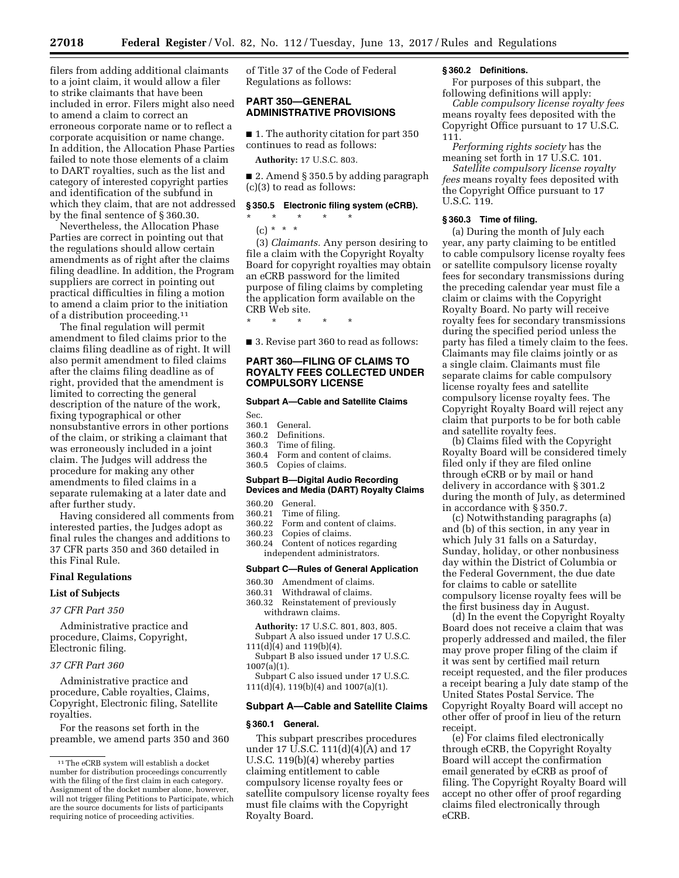filers from adding additional claimants to a joint claim, it would allow a filer to strike claimants that have been included in error. Filers might also need to amend a claim to correct an erroneous corporate name or to reflect a corporate acquisition or name change. In addition, the Allocation Phase Parties failed to note those elements of a claim to DART royalties, such as the list and category of interested copyright parties and identification of the subfund in which they claim, that are not addressed by the final sentence of § 360.30.

Nevertheless, the Allocation Phase Parties are correct in pointing out that the regulations should allow certain amendments as of right after the claims filing deadline. In addition, the Program suppliers are correct in pointing out practical difficulties in filing a motion to amend a claim prior to the initiation of a distribution proceeding.11

The final regulation will permit amendment to filed claims prior to the claims filing deadline as of right. It will also permit amendment to filed claims after the claims filing deadline as of right, provided that the amendment is limited to correcting the general description of the nature of the work, fixing typographical or other nonsubstantive errors in other portions of the claim, or striking a claimant that was erroneously included in a joint claim. The Judges will address the procedure for making any other amendments to filed claims in a separate rulemaking at a later date and after further study.

Having considered all comments from interested parties, the Judges adopt as final rules the changes and additions to 37 CFR parts 350 and 360 detailed in this Final Rule.

#### **Final Regulations**

#### **List of Subjects**

*37 CFR Part 350* 

Administrative practice and procedure, Claims, Copyright, Electronic filing.

## *37 CFR Part 360*

Administrative practice and procedure, Cable royalties, Claims, Copyright, Electronic filing, Satellite royalties.

For the reasons set forth in the preamble, we amend parts 350 and 360 of Title 37 of the Code of Federal Regulations as follows:

## **PART 350—GENERAL ADMINISTRATIVE PROVISIONS**

■ 1. The authority citation for part 350 continues to read as follows:

**Authority:** 17 U.S.C. 803.

■ 2. Amend § 350.5 by adding paragraph (c)(3) to read as follows:

# **§ 350.5 Electronic filing system (eCRB).**

- \* \* \* \* \*  $(c) * * * *$ 
	-

(3) *Claimants.* Any person desiring to file a claim with the Copyright Royalty Board for copyright royalties may obtain an eCRB password for the limited purpose of filing claims by completing the application form available on the CRB Web site.

\* \* \* \* \*

■ 3. Revise part 360 to read as follows:

### **PART 360—FILING OF CLAIMS TO ROYALTY FEES COLLECTED UNDER COMPULSORY LICENSE**

#### **Subpart A—Cable and Satellite Claims**

| Sec. |  |  |
|------|--|--|
|      |  |  |

- 360.1 General.
- 360.2 Definitions. Time of filing.
- 
- 360.4 Form and content of claims. 360.5 Copies of claims.
- 

## **Subpart B—Digital Audio Recording Devices and Media (DART) Royalty Claims**

### 360.20 General.

- 360.21 Time of filing.<br>360.22 Form and cont
- 360.22 Form and content of claims.<br>360.23 Copies of claims.
- 360.23 Copies of claims.
- Content of notices regarding independent administrators.

#### **Subpart C—Rules of General Application**

- 360.30 Amendment of claims.
- 360.31 Withdrawal of claims.
- Reinstatement of previously withdrawn claims.
- **Authority:** 17 U.S.C. 801, 803, 805. Subpart A also issued under 17 U.S.C.  $111(d)(4)$  and  $119(b)(4)$ .
- Subpart B also issued under 17 U.S.C.  $1007(a)(1)$ .

Subpart C also issued under 17 U.S.C.  $111(d)(4)$ ,  $119(b)(4)$  and  $1007(a)(1)$ .

## **Subpart A—Cable and Satellite Claims**

#### **§ 360.1 General.**

This subpart prescribes procedures under 17 U.S.C. 111(d)(4)(A) and 17 U.S.C. 119(b)(4) whereby parties claiming entitlement to cable compulsory license royalty fees or satellite compulsory license royalty fees must file claims with the Copyright Royalty Board.

#### **§ 360.2 Definitions.**

For purposes of this subpart, the following definitions will apply:

*Cable compulsory license royalty fees*  means royalty fees deposited with the Copyright Office pursuant to 17 U.S.C. 111.

*Performing rights society* has the meaning set forth in 17 U.S.C. 101.

*Satellite compulsory license royalty fees* means royalty fees deposited with the Copyright Office pursuant to 17 U.S.C. 119.

### **§ 360.3 Time of filing.**

(a) During the month of July each year, any party claiming to be entitled to cable compulsory license royalty fees or satellite compulsory license royalty fees for secondary transmissions during the preceding calendar year must file a claim or claims with the Copyright Royalty Board. No party will receive royalty fees for secondary transmissions during the specified period unless the party has filed a timely claim to the fees. Claimants may file claims jointly or as a single claim. Claimants must file separate claims for cable compulsory license royalty fees and satellite compulsory license royalty fees. The Copyright Royalty Board will reject any claim that purports to be for both cable and satellite royalty fees.

(b) Claims filed with the Copyright Royalty Board will be considered timely filed only if they are filed online through eCRB or by mail or hand delivery in accordance with § 301.2 during the month of July, as determined in accordance with § 350.7.

(c) Notwithstanding paragraphs (a) and (b) of this section, in any year in which July 31 falls on a Saturday, Sunday, holiday, or other nonbusiness day within the District of Columbia or the Federal Government, the due date for claims to cable or satellite compulsory license royalty fees will be the first business day in August.

(d) In the event the Copyright Royalty Board does not receive a claim that was properly addressed and mailed, the filer may prove proper filing of the claim if it was sent by certified mail return receipt requested, and the filer produces a receipt bearing a July date stamp of the United States Postal Service. The Copyright Royalty Board will accept no other offer of proof in lieu of the return receipt.

(e) For claims filed electronically through eCRB, the Copyright Royalty Board will accept the confirmation email generated by eCRB as proof of filing. The Copyright Royalty Board will accept no other offer of proof regarding claims filed electronically through eCRB.

<sup>11</sup>The eCRB system will establish a docket number for distribution proceedings concurrently with the filing of the first claim in each category. Assignment of the docket number alone, however, will not trigger filing Petitions to Participate, which are the source documents for lists of participants requiring notice of proceeding activities.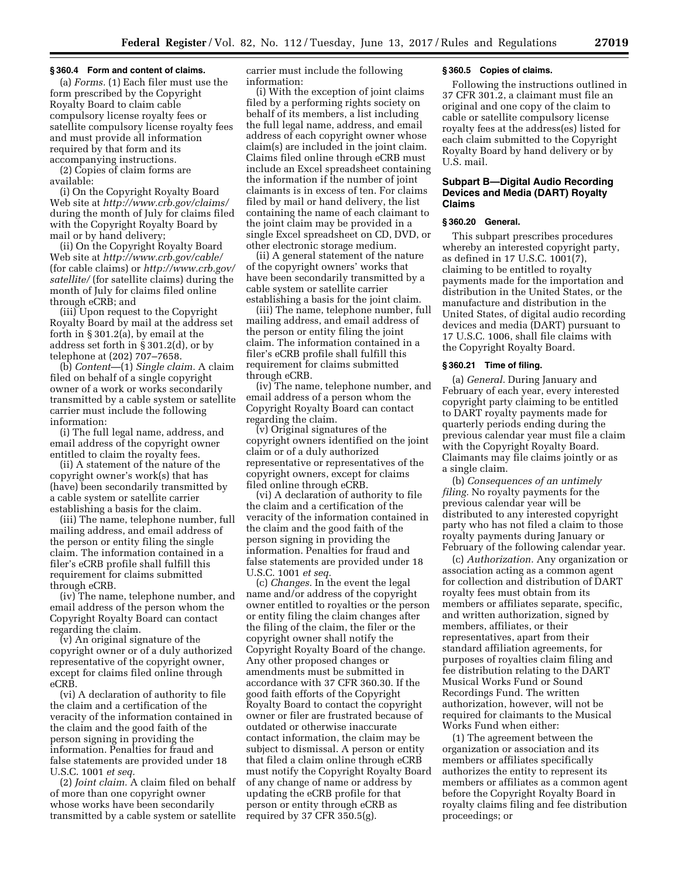#### **§ 360.4 Form and content of claims.**

(a) *Forms.* (1) Each filer must use the form prescribed by the Copyright Royalty Board to claim cable compulsory license royalty fees or satellite compulsory license royalty fees and must provide all information required by that form and its accompanying instructions.

(2) Copies of claim forms are available:

(i) On the Copyright Royalty Board Web site at *<http://www.crb.gov/claims/>*  during the month of July for claims filed with the Copyright Royalty Board by mail or by hand delivery;

(ii) On the Copyright Royalty Board Web site at *<http://www.crb.gov/cable/>* (for cable claims) or *[http://www.crb.gov/](http://www.crb.gov/satellite/) [satellite/](http://www.crb.gov/satellite/)* (for satellite claims) during the month of July for claims filed online through eCRB; and

(iii) Upon request to the Copyright Royalty Board by mail at the address set forth in § 301.2(a), by email at the address set forth in § 301.2(d), or by telephone at (202) 707–7658.

(b) *Content*—(1) *Single claim.* A claim filed on behalf of a single copyright owner of a work or works secondarily transmitted by a cable system or satellite carrier must include the following information:

(i) The full legal name, address, and email address of the copyright owner entitled to claim the royalty fees.

(ii) A statement of the nature of the copyright owner's work(s) that has (have) been secondarily transmitted by a cable system or satellite carrier establishing a basis for the claim.

(iii) The name, telephone number, full mailing address, and email address of the person or entity filing the single claim. The information contained in a filer's eCRB profile shall fulfill this requirement for claims submitted through eCRB.

(iv) The name, telephone number, and email address of the person whom the Copyright Royalty Board can contact regarding the claim.

(v) An original signature of the copyright owner or of a duly authorized representative of the copyright owner, except for claims filed online through eCRB.

(vi) A declaration of authority to file the claim and a certification of the veracity of the information contained in the claim and the good faith of the person signing in providing the information. Penalties for fraud and false statements are provided under 18 U.S.C. 1001 *et seq.* 

(2) *Joint claim.* A claim filed on behalf of more than one copyright owner whose works have been secondarily transmitted by a cable system or satellite

carrier must include the following information:

(i) With the exception of joint claims filed by a performing rights society on behalf of its members, a list including the full legal name, address, and email address of each copyright owner whose claim(s) are included in the joint claim. Claims filed online through eCRB must include an Excel spreadsheet containing the information if the number of joint claimants is in excess of ten. For claims filed by mail or hand delivery, the list containing the name of each claimant to the joint claim may be provided in a single Excel spreadsheet on CD, DVD, or other electronic storage medium.

(ii) A general statement of the nature of the copyright owners' works that have been secondarily transmitted by a cable system or satellite carrier establishing a basis for the joint claim.

(iii) The name, telephone number, full mailing address, and email address of the person or entity filing the joint claim. The information contained in a filer's eCRB profile shall fulfill this requirement for claims submitted through eCRB.

(iv) The name, telephone number, and email address of a person whom the Copyright Royalty Board can contact regarding the claim.

(v) Original signatures of the copyright owners identified on the joint claim or of a duly authorized representative or representatives of the copyright owners, except for claims filed online through eCRB.

(vi) A declaration of authority to file the claim and a certification of the veracity of the information contained in the claim and the good faith of the person signing in providing the information. Penalties for fraud and false statements are provided under 18 U.S.C. 1001 *et seq.* 

(c) *Changes.* In the event the legal name and/or address of the copyright owner entitled to royalties or the person or entity filing the claim changes after the filing of the claim, the filer or the copyright owner shall notify the Copyright Royalty Board of the change. Any other proposed changes or amendments must be submitted in accordance with 37 CFR 360.30. If the good faith efforts of the Copyright Royalty Board to contact the copyright owner or filer are frustrated because of outdated or otherwise inaccurate contact information, the claim may be subject to dismissal. A person or entity that filed a claim online through eCRB must notify the Copyright Royalty Board of any change of name or address by updating the eCRB profile for that person or entity through eCRB as required by 37 CFR 350.5(g).

#### **§ 360.5 Copies of claims.**

Following the instructions outlined in 37 CFR 301.2, a claimant must file an original and one copy of the claim to cable or satellite compulsory license royalty fees at the address(es) listed for each claim submitted to the Copyright Royalty Board by hand delivery or by U.S. mail.

## **Subpart B—Digital Audio Recording Devices and Media (DART) Royalty Claims**

#### **§ 360.20 General.**

This subpart prescribes procedures whereby an interested copyright party, as defined in 17 U.S.C. 1001(7), claiming to be entitled to royalty payments made for the importation and distribution in the United States, or the manufacture and distribution in the United States, of digital audio recording devices and media (DART) pursuant to 17 U.S.C. 1006, shall file claims with the Copyright Royalty Board.

#### **§ 360.21 Time of filing.**

(a) *General.* During January and February of each year, every interested copyright party claiming to be entitled to DART royalty payments made for quarterly periods ending during the previous calendar year must file a claim with the Copyright Royalty Board. Claimants may file claims jointly or as a single claim.

(b) *Consequences of an untimely filing.* No royalty payments for the previous calendar year will be distributed to any interested copyright party who has not filed a claim to those royalty payments during January or February of the following calendar year.

(c) *Authorization.* Any organization or association acting as a common agent for collection and distribution of DART royalty fees must obtain from its members or affiliates separate, specific, and written authorization, signed by members, affiliates, or their representatives, apart from their standard affiliation agreements, for purposes of royalties claim filing and fee distribution relating to the DART Musical Works Fund or Sound Recordings Fund. The written authorization, however, will not be required for claimants to the Musical Works Fund when either:

(1) The agreement between the organization or association and its members or affiliates specifically authorizes the entity to represent its members or affiliates as a common agent before the Copyright Royalty Board in royalty claims filing and fee distribution proceedings; or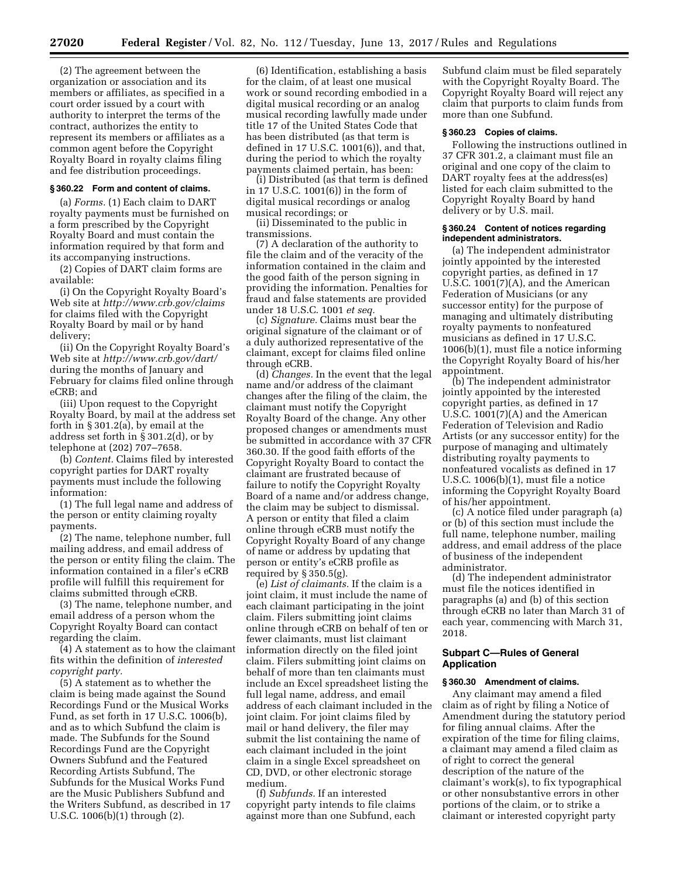(2) The agreement between the organization or association and its members or affiliates, as specified in a court order issued by a court with authority to interpret the terms of the contract, authorizes the entity to represent its members or affiliates as a common agent before the Copyright Royalty Board in royalty claims filing and fee distribution proceedings.

#### **§ 360.22 Form and content of claims.**

(a) *Forms.* (1) Each claim to DART royalty payments must be furnished on a form prescribed by the Copyright Royalty Board and must contain the information required by that form and its accompanying instructions.

(2) Copies of DART claim forms are available:

(i) On the Copyright Royalty Board's Web site at *<http://www.crb.gov/claims>* for claims filed with the Copyright Royalty Board by mail or by hand delivery;

(ii) On the Copyright Royalty Board's Web site at *<http://www.crb.gov/dart/>*  during the months of January and February for claims filed online through eCRB; and

(iii) Upon request to the Copyright Royalty Board, by mail at the address set forth in § 301.2(a), by email at the address set forth in § 301.2(d), or by telephone at (202) 707–7658.

(b) *Content.* Claims filed by interested copyright parties for DART royalty payments must include the following information:

(1) The full legal name and address of the person or entity claiming royalty payments.

(2) The name, telephone number, full mailing address, and email address of the person or entity filing the claim. The information contained in a filer's eCRB profile will fulfill this requirement for claims submitted through eCRB.

(3) The name, telephone number, and email address of a person whom the Copyright Royalty Board can contact regarding the claim.

(4) A statement as to how the claimant fits within the definition of *interested copyright party.* 

(5) A statement as to whether the claim is being made against the Sound Recordings Fund or the Musical Works Fund, as set forth in 17 U.S.C. 1006(b), and as to which Subfund the claim is made. The Subfunds for the Sound Recordings Fund are the Copyright Owners Subfund and the Featured Recording Artists Subfund, The Subfunds for the Musical Works Fund are the Music Publishers Subfund and the Writers Subfund, as described in 17 U.S.C. 1006(b)(1) through (2).

(6) Identification, establishing a basis for the claim, of at least one musical work or sound recording embodied in a digital musical recording or an analog musical recording lawfully made under title 17 of the United States Code that has been distributed (as that term is defined in 17 U.S.C. 1001(6)), and that, during the period to which the royalty payments claimed pertain, has been:

(i) Distributed (as that term is defined in 17 U.S.C. 1001(6)) in the form of digital musical recordings or analog musical recordings; or

(ii) Disseminated to the public in transmissions.

(7) A declaration of the authority to file the claim and of the veracity of the information contained in the claim and the good faith of the person signing in providing the information. Penalties for fraud and false statements are provided under 18 U.S.C. 1001 *et seq.* 

(c) *Signature.* Claims must bear the original signature of the claimant or of a duly authorized representative of the claimant, except for claims filed online through eCRB.

(d) *Changes.* In the event that the legal name and/or address of the claimant changes after the filing of the claim, the claimant must notify the Copyright Royalty Board of the change. Any other proposed changes or amendments must be submitted in accordance with 37 CFR 360.30. If the good faith efforts of the Copyright Royalty Board to contact the claimant are frustrated because of failure to notify the Copyright Royalty Board of a name and/or address change, the claim may be subject to dismissal. A person or entity that filed a claim online through eCRB must notify the Copyright Royalty Board of any change of name or address by updating that person or entity's eCRB profile as required by  $\S$  350.5(g).

(e) *List of claimants.* If the claim is a joint claim, it must include the name of each claimant participating in the joint claim. Filers submitting joint claims online through eCRB on behalf of ten or fewer claimants, must list claimant information directly on the filed joint claim. Filers submitting joint claims on behalf of more than ten claimants must include an Excel spreadsheet listing the full legal name, address, and email address of each claimant included in the joint claim. For joint claims filed by mail or hand delivery, the filer may submit the list containing the name of each claimant included in the joint claim in a single Excel spreadsheet on CD, DVD, or other electronic storage medium.

(f) *Subfunds.* If an interested copyright party intends to file claims against more than one Subfund, each Subfund claim must be filed separately with the Copyright Royalty Board. The Copyright Royalty Board will reject any claim that purports to claim funds from more than one Subfund.

## **§ 360.23 Copies of claims.**

Following the instructions outlined in 37 CFR 301.2, a claimant must file an original and one copy of the claim to DART royalty fees at the address(es) listed for each claim submitted to the Copyright Royalty Board by hand delivery or by U.S. mail.

#### **§ 360.24 Content of notices regarding independent administrators.**

(a) The independent administrator jointly appointed by the interested copyright parties, as defined in 17 U.S.C. 1001(7)(A), and the American Federation of Musicians (or any successor entity) for the purpose of managing and ultimately distributing royalty payments to nonfeatured musicians as defined in 17 U.S.C. 1006(b)(1), must file a notice informing the Copyright Royalty Board of his/her appointment.

(b) The independent administrator jointly appointed by the interested copyright parties, as defined in 17 U.S.C. 1001(7)(A) and the American Federation of Television and Radio Artists (or any successor entity) for the purpose of managing and ultimately distributing royalty payments to nonfeatured vocalists as defined in 17 U.S.C. 1006(b)(1), must file a notice informing the Copyright Royalty Board of his/her appointment.

(c) A notice filed under paragraph (a) or (b) of this section must include the full name, telephone number, mailing address, and email address of the place of business of the independent administrator.

(d) The independent administrator must file the notices identified in paragraphs (a) and (b) of this section through eCRB no later than March 31 of each year, commencing with March 31, 2018.

## **Subpart C—Rules of General Application**

#### **§ 360.30 Amendment of claims.**

Any claimant may amend a filed claim as of right by filing a Notice of Amendment during the statutory period for filing annual claims. After the expiration of the time for filing claims, a claimant may amend a filed claim as of right to correct the general description of the nature of the claimant's work(s), to fix typographical or other nonsubstantive errors in other portions of the claim, or to strike a claimant or interested copyright party